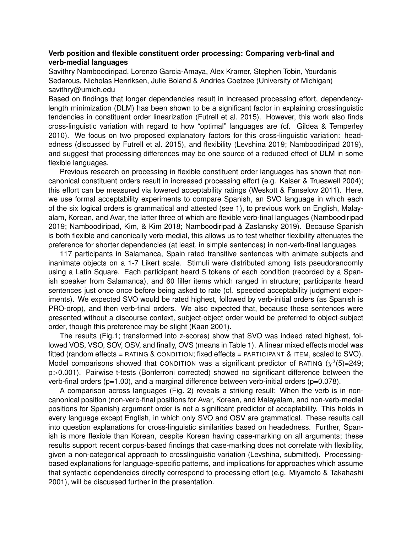## **Verb position and flexible constituent order processing: Comparing verb-final and verb-medial languages**

Savithry Namboodiripad, Lorenzo Garcia-Amaya, Alex Kramer, Stephen Tobin, Yourdanis Sedarous, Nicholas Henriksen, Julie Boland & Andries Coetzee (University of Michigan) savithry@umich.edu

Based on findings that longer dependencies result in increased processing effort, dependencylength minimization (DLM) has been shown to be a significant factor in explaining crosslinguistic tendencies in constituent order linearization (Futrell et al. 2015). However, this work also finds cross-linguistic variation with regard to how "optimal" languages are (cf. Gildea & Temperley 2010). We focus on two proposed explanatory factors for this cross-linguistic variation: headedness (discussed by Futrell et al. 2015), and flexibility (Levshina 2019; Namboodiripad 2019), and suggest that processing differences may be one source of a reduced effect of DLM in some flexible languages.

Previous research on processing in flexible constituent order languages has shown that noncanonical constituent orders result in increased processing effort (e.g. Kaiser & Trueswell 2004); this effort can be measured via lowered acceptability ratings (Weskott & Fanselow 2011). Here, we use formal acceptability experiments to compare Spanish, an SVO language in which each of the six logical orders is grammatical and attested (see 1), to previous work on English, Malayalam, Korean, and Avar, the latter three of which are flexible verb-final languages (Namboodiripad 2019; Namboodiripad, Kim, & Kim 2018; Namboodiripad & Zaslansky 2019). Because Spanish is both flexible and canonically verb-medial, this allows us to test whether flexibility attenuates the preference for shorter dependencies (at least, in simple sentences) in non-verb-final languages.

117 participants in Salamanca, Spain rated transitive sentences with animate subjects and inanimate objects on a 1-7 Likert scale. Stimuli were distributed among lists pseudorandomly using a Latin Square. Each participant heard 5 tokens of each condition (recorded by a Spanish speaker from Salamanca), and 60 filler items which ranged in structure; participants heard sentences just once once before being asked to rate (cf. speeded acceptability judgment experiments). We expected SVO would be rated highest, followed by verb-initial orders (as Spanish is PRO-drop), and then verb-final orders. We also expected that, because these sentences were presented without a discourse context, subject-object order would be preferred to object-subject order, though this preference may be slight (Kaan 2001).

The results (Fig.1; transformed into z-scores) show that SVO was indeed rated highest, followed VOS, VSO, SOV, OSV, and finally, OVS (means in Table 1). A linear mixed effects model was fitted (random effects = RATING & CONDITION; fixed effects = PARTICIPANT & ITEM, scaled to SVO). Model comparisons showed that CONDITION was a significant predictor of RATING  $(\chi^2(5)=249;$ p>0.001). Pairwise t-tests (Bonferroni corrected) showed no significant difference between the verb-final orders (p=1.00), and a marginal difference between verb-initial orders (p=0.078).

A comparison across languages (Fig. 2) reveals a striking result: When the verb is in noncanonical position (non-verb-final positions for Avar, Korean, and Malayalam, and non-verb-medial positions for Spanish) argument order is not a significant predictor of acceptability. This holds in every language except English, in which only SVO and OSV are grammatical. These results call into question explanations for cross-linguistic similarities based on headedness. Further, Spanish is more flexible than Korean, despite Korean having case-marking on all arguments; these results support recent corpus-based findings that case-marking does not correlate with flexibility, given a non-categorical approach to crosslinguistic variation (Levshina, submitted). Processingbased explanations for language-specific patterns, and implications for approaches which assume that syntactic dependencies directly correspond to processing effort (e.g. Miyamoto & Takahashi 2001), will be discussed further in the presentation.